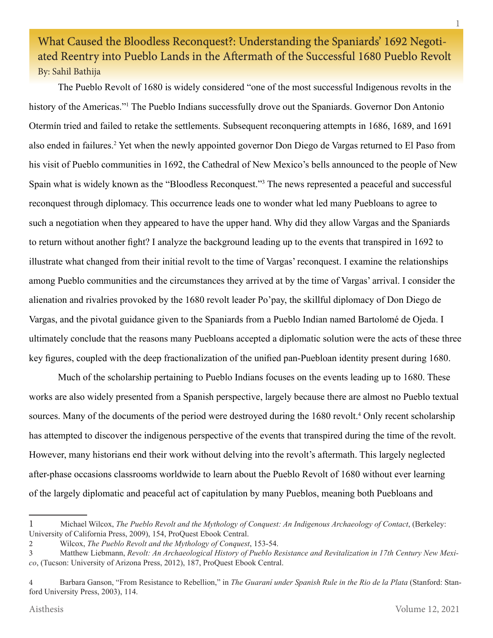# What Caused the Bloodless Reconquest?: Understanding the Spaniards' 1692 Negotiated Reentry into Pueblo Lands in the Aftermath of the Successful 1680 Pueblo Revolt By: Sahil Bathija

The Pueblo Revolt of 1680 is widely considered "one of the most successful Indigenous revolts in the history of the Americas."<sup>1</sup> The Pueblo Indians successfully drove out the Spaniards. Governor Don Antonio Otermín tried and failed to retake the settlements. Subsequent reconquering attempts in 1686, 1689, and 1691 also ended in failures.<sup>2</sup> Yet when the newly appointed governor Don Diego de Vargas returned to El Paso from his visit of Pueblo communities in 1692, the Cathedral of New Mexico's bells announced to the people of New Spain what is widely known as the "Bloodless Reconquest."<sup>3</sup> The news represented a peaceful and successful reconquest through diplomacy. This occurrence leads one to wonder what led many Puebloans to agree to such a negotiation when they appeared to have the upper hand. Why did they allow Vargas and the Spaniards to return without another fight? I analyze the background leading up to the events that transpired in 1692 to illustrate what changed from their initial revolt to the time of Vargas' reconquest. I examine the relationships among Pueblo communities and the circumstances they arrived at by the time of Vargas' arrival. I consider the alienation and rivalries provoked by the 1680 revolt leader Po'pay, the skillful diplomacy of Don Diego de Vargas, and the pivotal guidance given to the Spaniards from a Pueblo Indian named Bartolomé de Ojeda. I ultimately conclude that the reasons many Puebloans accepted a diplomatic solution were the acts of these three key figures, coupled with the deep fractionalization of the unified pan-Puebloan identity present during 1680.

Much of the scholarship pertaining to Pueblo Indians focuses on the events leading up to 1680. These works are also widely presented from a Spanish perspective, largely because there are almost no Pueblo textual sources. Many of the documents of the period were destroyed during the 1680 revolt.<sup>4</sup> Only recent scholarship has attempted to discover the indigenous perspective of the events that transpired during the time of the revolt. However, many historians end their work without delving into the revolt's aftermath. This largely neglected after-phase occasions classrooms worldwide to learn about the Pueblo Revolt of 1680 without ever learning of the largely diplomatic and peaceful act of capitulation by many Pueblos, meaning both Puebloans and

<sup>1</sup> Michael Wilcox, *The Pueblo Revolt and the Mythology of Conquest: An Indigenous Archaeology of Contact*, (Berkeley: University of California Press, 2009), 154, ProQuest Ebook Central.

<sup>2</sup> Wilcox, *The Pueblo Revolt and the Mythology of Conquest*, 153-54.

<sup>3</sup> Matthew Liebmann, *Revolt: An Archaeological History of Pueblo Resistance and Revitalization in 17th Century New Mexico*, (Tucson: University of Arizona Press, 2012), 187, ProQuest Ebook Central.

<sup>4</sup> Barbara Ganson, "From Resistance to Rebellion," in *The Guaraní under Spanish Rule in the Rio de la Plata* (Stanford: Stanford University Press, 2003), 114.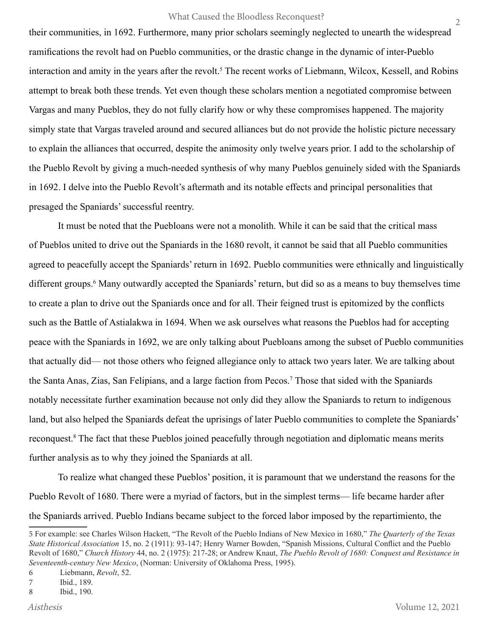their communities, in 1692. Furthermore, many prior scholars seemingly neglected to unearth the widespread ramifications the revolt had on Pueblo communities, or the drastic change in the dynamic of inter-Pueblo interaction and amity in the years after the revolt.<sup>5</sup> The recent works of Liebmann, Wilcox, Kessell, and Robins attempt to break both these trends. Yet even though these scholars mention a negotiated compromise between Vargas and many Pueblos, they do not fully clarify how or why these compromises happened. The majority simply state that Vargas traveled around and secured alliances but do not provide the holistic picture necessary to explain the alliances that occurred, despite the animosity only twelve years prior. I add to the scholarship of the Pueblo Revolt by giving a much-needed synthesis of why many Pueblos genuinely sided with the Spaniards in 1692. I delve into the Pueblo Revolt's aftermath and its notable effects and principal personalities that presaged the Spaniards' successful reentry.

It must be noted that the Puebloans were not a monolith. While it can be said that the critical mass of Pueblos united to drive out the Spaniards in the 1680 revolt, it cannot be said that all Pueblo communities agreed to peacefully accept the Spaniards' return in 1692. Pueblo communities were ethnically and linguistically different groups.<sup>6</sup> Many outwardly accepted the Spaniards' return, but did so as a means to buy themselves time to create a plan to drive out the Spaniards once and for all. Their feigned trust is epitomized by the conflicts such as the Battle of Astialakwa in 1694. When we ask ourselves what reasons the Pueblos had for accepting peace with the Spaniards in 1692, we are only talking about Puebloans among the subset of Pueblo communities that actually did— not those others who feigned allegiance only to attack two years later. We are talking about the Santa Anas, Zias, San Felipians, and a large faction from Pecos.<sup>7</sup> Those that sided with the Spaniards notably necessitate further examination because not only did they allow the Spaniards to return to indigenous land, but also helped the Spaniards defeat the uprisings of later Pueblo communities to complete the Spaniards' reconquest.8 The fact that these Pueblos joined peacefully through negotiation and diplomatic means merits further analysis as to why they joined the Spaniards at all.

To realize what changed these Pueblos' position, it is paramount that we understand the reasons for the Pueblo Revolt of 1680. There were a myriad of factors, but in the simplest terms— life became harder after the Spaniards arrived. Pueblo Indians became subject to the forced labor imposed by the repartimiento, the

<sup>5</sup> For example: see Charles Wilson Hackett, "The Revolt of the Pueblo Indians of New Mexico in 1680," *The Quarterly of the Texas State Historical Association* 15, no. 2 (1911): 93-147; Henry Warner Bowden, "Spanish Missions, Cultural Conflict and the Pueblo Revolt of 1680," *Church History* 44, no. 2 (1975): 217-28; or Andrew Knaut, *The Pueblo Revolt of 1680: Conquest and Resistance in Seventeenth-century New Mexico*, (Norman: University of Oklahoma Press, 1995).

<sup>6</sup> Liebmann, *Revolt*, 52.

<sup>7</sup> Ibid., 189.

<sup>8</sup> Ibid., 190.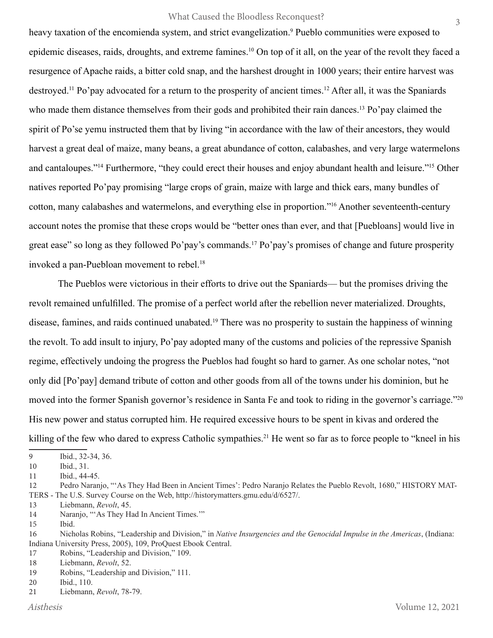heavy taxation of the encomienda system, and strict evangelization.<sup>9</sup> Pueblo communities were exposed to epidemic diseases, raids, droughts, and extreme famines.<sup>10</sup> On top of it all, on the year of the revolt they faced a resurgence of Apache raids, a bitter cold snap, and the harshest drought in 1000 years; their entire harvest was destroyed.<sup>11</sup> Po'pay advocated for a return to the prosperity of ancient times.<sup>12</sup> After all, it was the Spaniards who made them distance themselves from their gods and prohibited their rain dances.<sup>13</sup> Po'pay claimed the spirit of Po'se yemu instructed them that by living "in accordance with the law of their ancestors, they would harvest a great deal of maize, many beans, a great abundance of cotton, calabashes, and very large watermelons and cantaloupes."14 Furthermore, "they could erect their houses and enjoy abundant health and leisure."15 Other natives reported Po'pay promising "large crops of grain, maize with large and thick ears, many bundles of cotton, many calabashes and watermelons, and everything else in proportion."16 Another seventeenth-century account notes the promise that these crops would be "better ones than ever, and that [Puebloans] would live in great ease" so long as they followed Po'pay's commands.<sup>17</sup> Po'pay's promises of change and future prosperity invoked a pan-Puebloan movement to rebel.<sup>18</sup>

The Pueblos were victorious in their efforts to drive out the Spaniards— but the promises driving the revolt remained unfulfilled. The promise of a perfect world after the rebellion never materialized. Droughts, disease, famines, and raids continued unabated.19 There was no prosperity to sustain the happiness of winning the revolt. To add insult to injury, Po'pay adopted many of the customs and policies of the repressive Spanish regime, effectively undoing the progress the Pueblos had fought so hard to garner. As one scholar notes, "not only did [Po'pay] demand tribute of cotton and other goods from all of the towns under his dominion, but he moved into the former Spanish governor's residence in Santa Fe and took to riding in the governor's carriage."<sup>20</sup> His new power and status corrupted him. He required excessive hours to be spent in kivas and ordered the killing of the few who dared to express Catholic sympathies.<sup>21</sup> He went so far as to force people to "kneel in his

12 Pedro Naranjo, "'As They Had Been in Ancient Times': Pedro Naranjo Relates the Pueblo Revolt, 1680," HISTORY MAT-TERS - The U.S. Survey Course on the Web, http://historymatters.gmu.edu/d/6527/.

13 Liebmann, *Revolt*, 45.

14 Naranjo, "'As They Had In Ancient Times."

- 15 Ibid.
- 16 Nicholas Robins, "Leadership and Division," in *Native Insurgencies and the Genocidal Impulse in the Americas*, (Indiana: Indiana University Press, 2005), 109, ProQuest Ebook Central.

17 Robins, "Leadership and Division," 109.

- 20 Ibid., 110.
- 21 Liebmann, *Revolt*, 78-79.

<sup>9</sup> Ibid., 32-34, 36.

<sup>10</sup> Ibid., 31.

<sup>11</sup> Ibid., 44-45.

<sup>18</sup> Liebmann, *Revolt*, 52.

<sup>19</sup> Robins, "Leadership and Division," 111.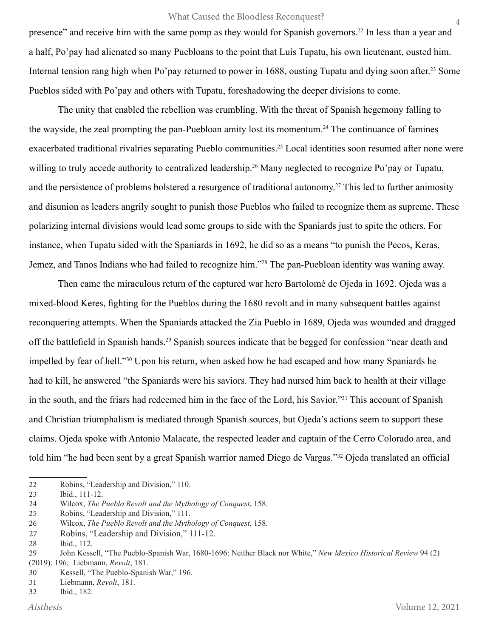presence" and receive him with the same pomp as they would for Spanish governors.<sup>22</sup> In less than a year and a half, Po'pay had alienated so many Puebloans to the point that Luís Tupatu, his own lieutenant, ousted him. Internal tension rang high when Po'pay returned to power in 1688, ousting Tupatu and dying soon after.<sup>23</sup> Some Pueblos sided with Po'pay and others with Tupatu, foreshadowing the deeper divisions to come.

The unity that enabled the rebellion was crumbling. With the threat of Spanish hegemony falling to the wayside, the zeal prompting the pan-Puebloan amity lost its momentum.<sup>24</sup> The continuance of famines exacerbated traditional rivalries separating Pueblo communities.<sup>25</sup> Local identities soon resumed after none were willing to truly accede authority to centralized leadership.<sup>26</sup> Many neglected to recognize Po'pay or Tupatu, and the persistence of problems bolstered a resurgence of traditional autonomy.<sup>27</sup> This led to further animosity and disunion as leaders angrily sought to punish those Pueblos who failed to recognize them as supreme. These polarizing internal divisions would lead some groups to side with the Spaniards just to spite the others. For instance, when Tupatu sided with the Spaniards in 1692, he did so as a means "to punish the Pecos, Keras, Jemez, and Tanos Indians who had failed to recognize him."<sup>28</sup> The pan-Puebloan identity was waning away.

Then came the miraculous return of the captured war hero Bartolomé de Ojeda in 1692. Ojeda was a mixed-blood Keres, fighting for the Pueblos during the 1680 revolt and in many subsequent battles against reconquering attempts. When the Spaniards attacked the Zia Pueblo in 1689, Ojeda was wounded and dragged off the battlefield in Spanish hands.29 Spanish sources indicate that be begged for confession "near death and impelled by fear of hell."30 Upon his return, when asked how he had escaped and how many Spaniards he had to kill, he answered "the Spaniards were his saviors. They had nursed him back to health at their village in the south, and the friars had redeemed him in the face of the Lord, his Savior."31 This account of Spanish and Christian triumphalism is mediated through Spanish sources, but Ojeda's actions seem to support these claims. Ojeda spoke with Antonio Malacate, the respected leader and captain of the Cerro Colorado area, and told him "he had been sent by a great Spanish warrior named Diego de Vargas."32 Ojeda translated an official

22 Robins, "Leadership and Division," 110.

25 Robins, "Leadership and Division," 111.

4

<sup>23</sup> Ibid., 111-12.

<sup>24</sup> Wilcox, *The Pueblo Revolt and the Mythology of Conquest*, 158.

<sup>26</sup> Wilcox, *The Pueblo Revolt and the Mythology of Conquest*, 158.

<sup>27</sup> Robins, "Leadership and Division," 111-12.

<sup>28</sup> Ibid., 112.

<sup>29</sup> John Kessell, "The Pueblo-Spanish War, 1680-1696: Neither Black nor White," *New Mexico Historical Review* 94 (2) (2019): 196; Liebmann, *Revolt*, 181.

<sup>30</sup> Kessell, "The Pueblo-Spanish War," 196.

<sup>31</sup> Liebmann, *Revolt*, 181.

<sup>32</sup> Ibid., 182.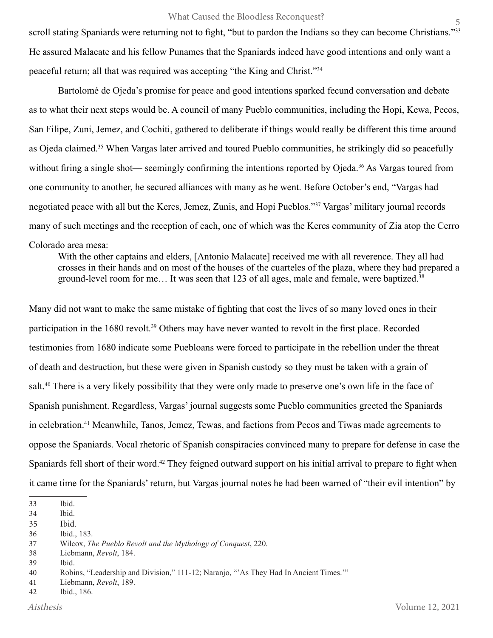scroll stating Spaniards were returning not to fight, "but to pardon the Indians so they can become Christians."33 He assured Malacate and his fellow Punames that the Spaniards indeed have good intentions and only want a peaceful return; all that was required was accepting "the King and Christ."<sup>34</sup>

Bartolomé de Ojeda's promise for peace and good intentions sparked fecund conversation and debate as to what their next steps would be. A council of many Pueblo communities, including the Hopi, Kewa, Pecos, San Filipe, Zuni, Jemez, and Cochiti, gathered to deliberate if things would really be different this time around as Ojeda claimed.35 When Vargas later arrived and toured Pueblo communities, he strikingly did so peacefully without firing a single shot— seemingly confirming the intentions reported by Ojeda.<sup>36</sup> As Vargas toured from one community to another, he secured alliances with many as he went. Before October's end, "Vargas had negotiated peace with all but the Keres, Jemez, Zunis, and Hopi Pueblos."37 Vargas' military journal records many of such meetings and the reception of each, one of which was the Keres community of Zia atop the Cerro Colorado area mesa:

With the other captains and elders, [Antonio Malacate] received me with all reverence. They all had crosses in their hands and on most of the houses of the cuarteles of the plaza, where they had prepared a ground-level room for me... It was seen that 123 of all ages, male and female, were baptized.<sup>38</sup>

Many did not want to make the same mistake of fighting that cost the lives of so many loved ones in their participation in the 1680 revolt.<sup>39</sup> Others may have never wanted to revolt in the first place. Recorded testimonies from 1680 indicate some Puebloans were forced to participate in the rebellion under the threat of death and destruction, but these were given in Spanish custody so they must be taken with a grain of salt.<sup>40</sup> There is a very likely possibility that they were only made to preserve one's own life in the face of Spanish punishment. Regardless, Vargas' journal suggests some Pueblo communities greeted the Spaniards in celebration.41 Meanwhile, Tanos, Jemez, Tewas, and factions from Pecos and Tiwas made agreements to oppose the Spaniards. Vocal rhetoric of Spanish conspiracies convinced many to prepare for defense in case the Spaniards fell short of their word.<sup>42</sup> They feigned outward support on his initial arrival to prepare to fight when it came time for the Spaniards' return, but Vargas journal notes he had been warned of "their evil intention" by

<sup>33</sup> Ibid.

<sup>34</sup> Ibid.

<sup>35</sup> Ibid.

<sup>36</sup> Ibid., 183.

<sup>37</sup> Wilcox, *The Pueblo Revolt and the Mythology of Conquest*, 220.

<sup>38</sup> Liebmann, *Revolt*, 184.

<sup>39</sup> Ibid.

<sup>40</sup> Robins, "Leadership and Division," 111-12; Naranjo, "'As They Had In Ancient Times.'"

<sup>41</sup> Liebmann, *Revolt*, 189.

<sup>42</sup> Ibid., 186.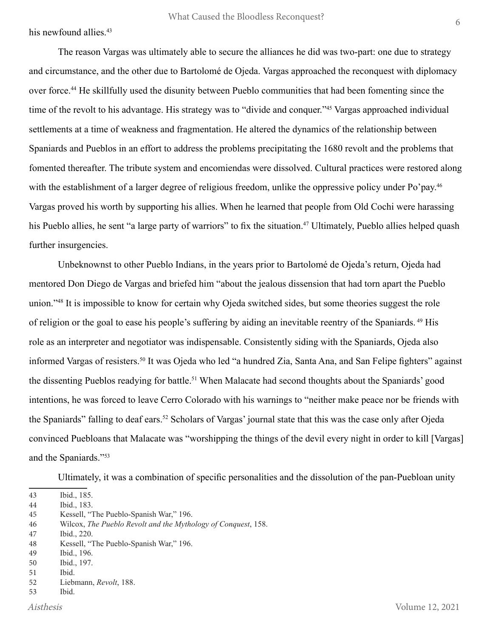his newfound allies.<sup>43</sup>

The reason Vargas was ultimately able to secure the alliances he did was two-part: one due to strategy and circumstance, and the other due to Bartolomé de Ojeda. Vargas approached the reconquest with diplomacy over force.44 He skillfully used the disunity between Pueblo communities that had been fomenting since the time of the revolt to his advantage. His strategy was to "divide and conquer."45 Vargas approached individual settlements at a time of weakness and fragmentation. He altered the dynamics of the relationship between Spaniards and Pueblos in an effort to address the problems precipitating the 1680 revolt and the problems that fomented thereafter. The tribute system and encomiendas were dissolved. Cultural practices were restored along with the establishment of a larger degree of religious freedom, unlike the oppressive policy under Po'pay.<sup>46</sup> Vargas proved his worth by supporting his allies. When he learned that people from Old Cochi were harassing his Pueblo allies, he sent "a large party of warriors" to fix the situation.<sup>47</sup> Ultimately, Pueblo allies helped quash further insurgencies.

Unbeknownst to other Pueblo Indians, in the years prior to Bartolomé de Ojeda's return, Ojeda had mentored Don Diego de Vargas and briefed him "about the jealous dissension that had torn apart the Pueblo union."48 It is impossible to know for certain why Ojeda switched sides, but some theories suggest the role of religion or the goal to ease his people's suffering by aiding an inevitable reentry of the Spaniards. 49 His role as an interpreter and negotiator was indispensable. Consistently siding with the Spaniards, Ojeda also informed Vargas of resisters.<sup>50</sup> It was Ojeda who led "a hundred Zia, Santa Ana, and San Felipe fighters" against the dissenting Pueblos readying for battle.51 When Malacate had second thoughts about the Spaniards' good intentions, he was forced to leave Cerro Colorado with his warnings to "neither make peace nor be friends with the Spaniards" falling to deaf ears.<sup>52</sup> Scholars of Vargas' journal state that this was the case only after Ojeda convinced Puebloans that Malacate was "worshipping the things of the devil every night in order to kill [Vargas] and the Spaniards."53

Ultimately, it was a combination of specific personalities and the dissolution of the pan-Puebloan unity

50 Ibid., 197.

<sup>43</sup> Ibid., 185.

<sup>44</sup> Ibid., 183.

<sup>45</sup> Kessell, "The Pueblo-Spanish War," 196.

<sup>46</sup> Wilcox, *The Pueblo Revolt and the Mythology of Conquest*, 158.

<sup>47</sup> Ibid., 220.

<sup>48</sup> Kessell, "The Pueblo-Spanish War," 196.

<sup>49</sup> Ibid., 196.

<sup>51</sup> Ibid.

<sup>52</sup> Liebmann, *Revolt*, 188.

<sup>53</sup> Ibid.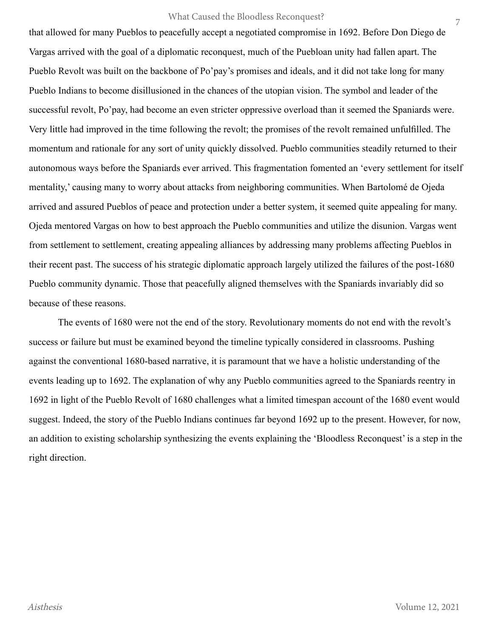that allowed for many Pueblos to peacefully accept a negotiated compromise in 1692. Before Don Diego de Vargas arrived with the goal of a diplomatic reconquest, much of the Puebloan unity had fallen apart. The Pueblo Revolt was built on the backbone of Po'pay's promises and ideals, and it did not take long for many Pueblo Indians to become disillusioned in the chances of the utopian vision. The symbol and leader of the successful revolt, Po'pay, had become an even stricter oppressive overload than it seemed the Spaniards were. Very little had improved in the time following the revolt; the promises of the revolt remained unfulfilled. The momentum and rationale for any sort of unity quickly dissolved. Pueblo communities steadily returned to their autonomous ways before the Spaniards ever arrived. This fragmentation fomented an 'every settlement for itself mentality,' causing many to worry about attacks from neighboring communities. When Bartolomé de Ojeda arrived and assured Pueblos of peace and protection under a better system, it seemed quite appealing for many. Ojeda mentored Vargas on how to best approach the Pueblo communities and utilize the disunion. Vargas went from settlement to settlement, creating appealing alliances by addressing many problems affecting Pueblos in their recent past. The success of his strategic diplomatic approach largely utilized the failures of the post-1680 Pueblo community dynamic. Those that peacefully aligned themselves with the Spaniards invariably did so because of these reasons.

The events of 1680 were not the end of the story. Revolutionary moments do not end with the revolt's success or failure but must be examined beyond the timeline typically considered in classrooms. Pushing against the conventional 1680-based narrative, it is paramount that we have a holistic understanding of the events leading up to 1692. The explanation of why any Pueblo communities agreed to the Spaniards reentry in 1692 in light of the Pueblo Revolt of 1680 challenges what a limited timespan account of the 1680 event would suggest. Indeed, the story of the Pueblo Indians continues far beyond 1692 up to the present. However, for now, an addition to existing scholarship synthesizing the events explaining the 'Bloodless Reconquest' is a step in the right direction.

7